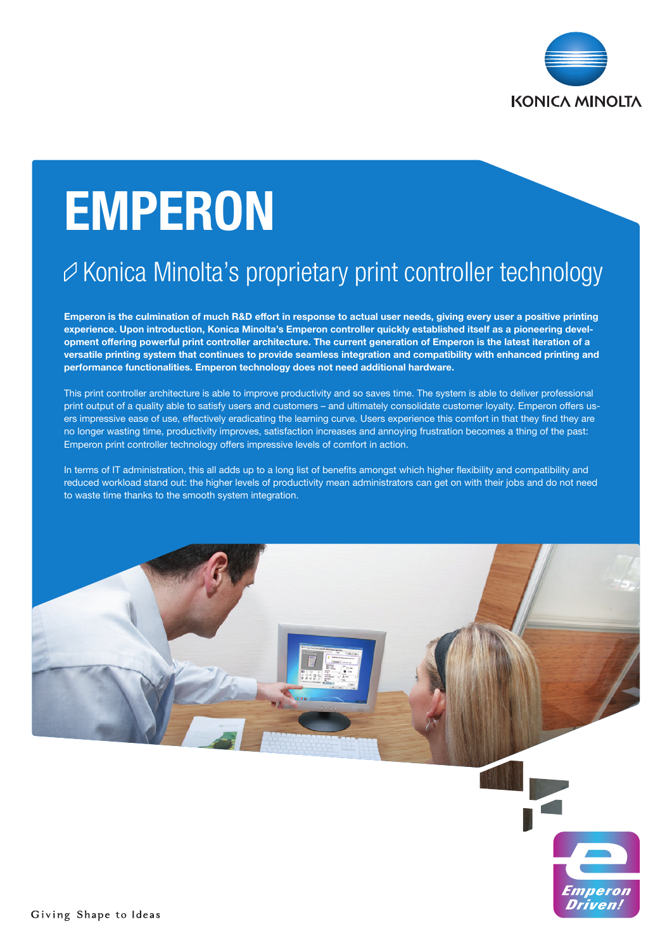

# EMPERON

# $\varnothing$  Konica Minolta's proprietary print controller technology

Emperon is the culmination of much R&D effort in response to actual user needs, giving every user a positive printing experience. Upon introduction, Konica Minolta's Emperon controller quickly established itself as a pioneering development offering powerful print controller architecture. The current generation of Emperon is the latest iteration of a versatile printing system that continues to provide seamless integration and compatibility with enhanced printing and performance functionalities. Emperon technology does not need additional hardware.

This print controller architecture is able to improve productivity and so saves time. The system is able to deliver professional print output of a quality able to satisfy users and customers – and ultimately consolidate customer loyalty. Emperon offers users impressive ease of use, effectively eradicating the learning curve. Users experience this comfort in that they find they are no longer wasting time, productivity improves, satisfaction increases and annoying frustration becomes a thing of the past: Emperon print controller technology offers impressive levels of comfort in action.

In terms of IT administration, this all adds up to a long list of benefits amongst which higher flexibility and compatibility and reduced workload stand out: the higher levels of productivity mean administrators can get on with their jobs and do not need to waste time thanks to the smooth system integration.